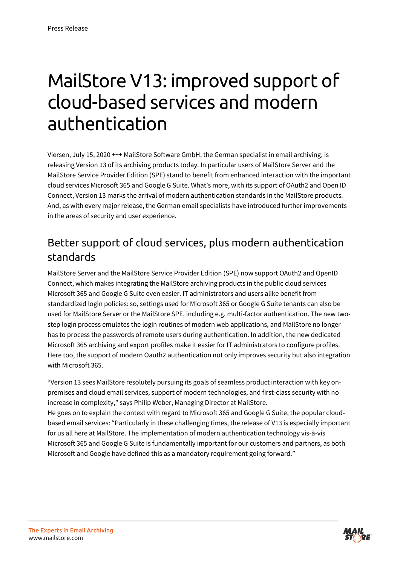# MailStore V13: improved support of cloud-based services and modern authentication

Viersen, July 15, 2020 +++ MailStore Software GmbH, the German specialist in email archiving, is releasing Version 13 of its archiving products today. In particular users o[f MailStore Server](https://www.mailstore.com/en/products/mailstore-server/) and the [MailStore Service Provider Edition \(SPE\)](https://www.mailstore.com/de/produkte/mailstore-spe/) stand to benefit from enhanced interaction with the important cloud services Microsoft 365 and Google G Suite. What's more, with its support of OAuth2 and Open ID Connect, Version 13 marks the arrival of modern authentication standards in the MailStore products. And, as with every major release, the German email specialists have introduced further improvements in the areas of security and user experience.

#### Better support of cloud services, plus modern authentication standards

MailStore Server and the MailStore Service Provider Edition (SPE) now support OAuth2 and OpenID Connect, which makes integrating the MailStore archiving products in the public cloud services Microsoft 365 and Google G Suite even easier. IT administrators and users alike benefit from standardized login policies: so, settings used for Microsoft 365 or Google G Suite tenants can also be used for MailStore Server or the MailStore SPE, including e.g. multi-factor authentication. The new twostep login process emulates the login routines of modern web applications, and MailStore no longer has to process the passwords of remote users during authentication. In addition, the new dedicated Microsoft 365 archiving and export profiles make it easier for IT administrators to configure profiles. Here too, the support of modern Oauth2 authentication not only improves security but also integration with Microsoft 365.

"Version 13 sees MailStore resolutely pursuing its goals of seamless product interaction with key onpremises and cloud email services, support of modern technologies, and first-class security with no increase in complexity," says Philip Weber, Managing Director at MailStore. He goes on to explain the context with regard to Microsoft 365 and Google G Suite, the popular cloudbased email services: "Particularly in these challenging times, the release of V13 is especially important for us all here at MailStore. The implementation of modern authentication technology vis-à-vis Microsoft 365 and Google G Suite is fundamentally important for our customers and partners, as both Microsoft and Google have defined this as a mandatory requirement going forward."

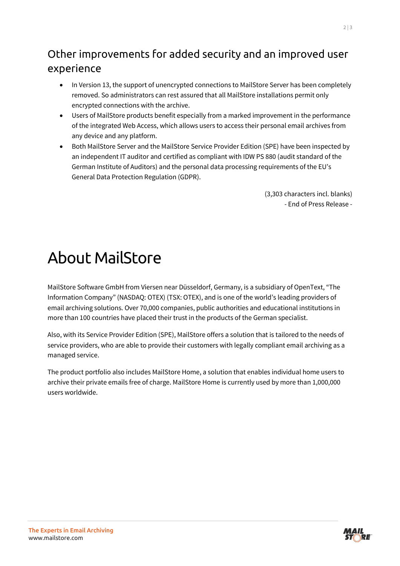### Other improvements for added security and an improved user experience

- In Version 13, the support of unencrypted connections to MailStore Server has been completely removed. So administrators can rest assured that all MailStore installations permit only encrypted connections with the archive.
- Users of MailStore products benefit especially from a marked improvement in the performance of the integrated Web Access, which allows users to access their personal email archives from any device and any platform.
- Both MailStore Server and the MailStore Service Provider Edition (SPE) have been inspected by an independent IT auditor and certified as compliant with IDW PS 880 (audit standard of the German Institute of Auditors) and the personal data processing requirements of the EU's General Data Protection Regulation (GDPR).

(3,303 characters incl. blanks) - End of Press Release -

## About MailStore

MailStore Software GmbH from Viersen near Düsseldorf, Germany, is a subsidiary of OpenText, "The Information Company" (NASDAQ: OTEX) (TSX: OTEX), and is one of the world's leading providers of email archiving solutions. Over 70,000 companies, public authorities and educational institutions in more than 100 countries have placed their trust in the products of the German specialist.

Also, with its Service Provider Edition (SPE), MailStore offers a solution that is tailored to the needs of service providers, who are able to provide their customers with legally compliant email archiving as a managed service.

The product portfolio also includes MailStore Home, a solution that enables individual home users to archive their private emails free of charge. MailStore Home is currently used by more than 1,000,000 users worldwide.